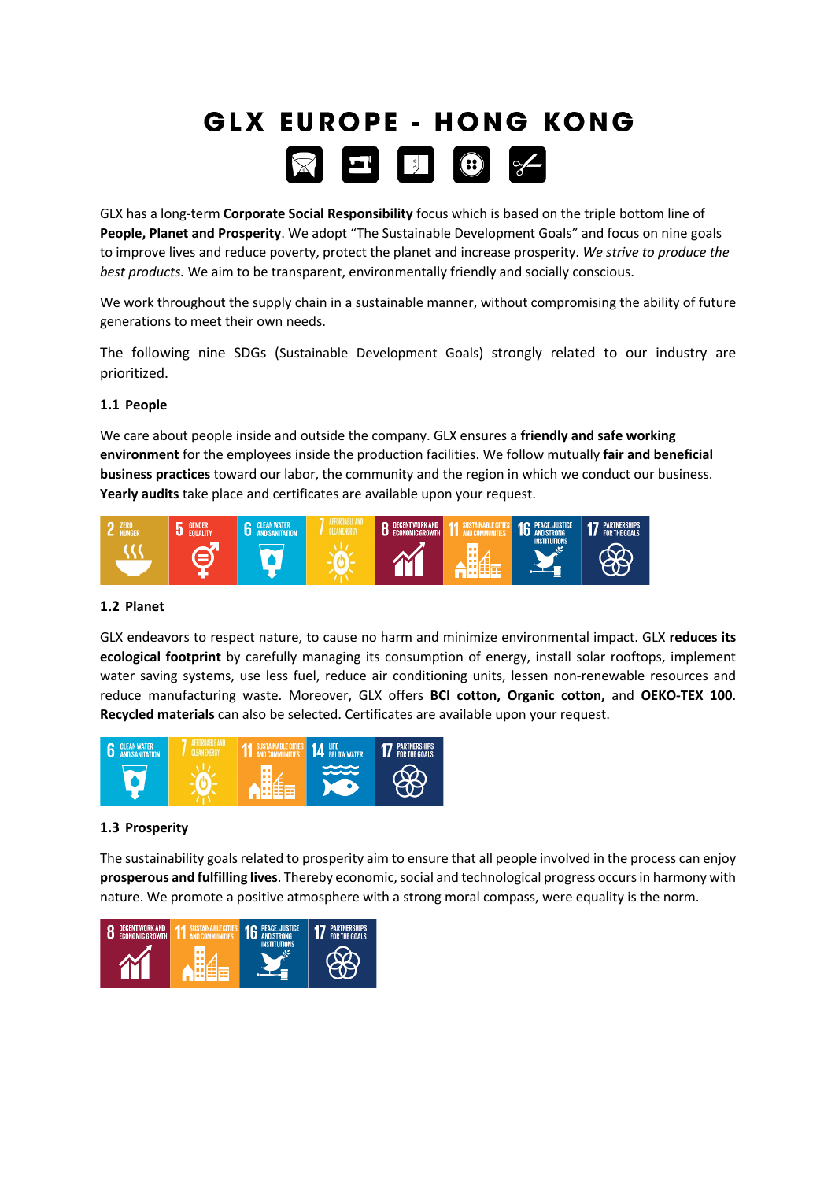# **GLX EUROPE - HONG KONG**  $\boxtimes$   $\blacksquare$   $\blacksquare$

GLX has a long-term **Corporate Social Responsibility** focus which is based on the triple bottom line of **People, Planet and Prosperity**. We adopt "The Sustainable Development Goals" and focus on nine goals to improve lives and reduce poverty, protect the planet and increase prosperity. *We strive to produce the best products.* We aim to be transparent, environmentally friendly and socially conscious.

We work throughout the supply chain in a sustainable manner, without compromising the ability of future generations to meet their own needs.

The following nine SDGs (Sustainable Development Goals) strongly related to our industry are prioritized.

# **1.1 People**

We care about people inside and outside the company. GLX ensures a **friendly and safe working environment** for the employees inside the production facilities. We follow mutually **fair and beneficial business practices** toward our labor, the community and the region in which we conduct our business. **Yearly audits** take place and certificates are available upon your request.



## **1.2 Planet**

GLX endeavors to respect nature, to cause no harm and minimize environmental impact. GLX **reduces its ecological footprint** by carefully managing its consumption of energy, install solar rooftops, implement water saving systems, use less fuel, reduce air conditioning units, lessen non-renewable resources and reduce manufacturing waste. Moreover, GLX offers **BCI cotton, Organic cotton,** and **OEKO-TEX 100**. **Recycled materials** can also be selected. Certificates are available upon your request.



## **1.3 Prosperity**

The sustainability goals related to prosperity aim to ensure that all people involved in the process can enjoy **prosperous and fulfilling lives**. Thereby economic, social and technological progress occurs in harmony with nature. We promote a positive atmosphere with a strong moral compass, were equality is the norm.

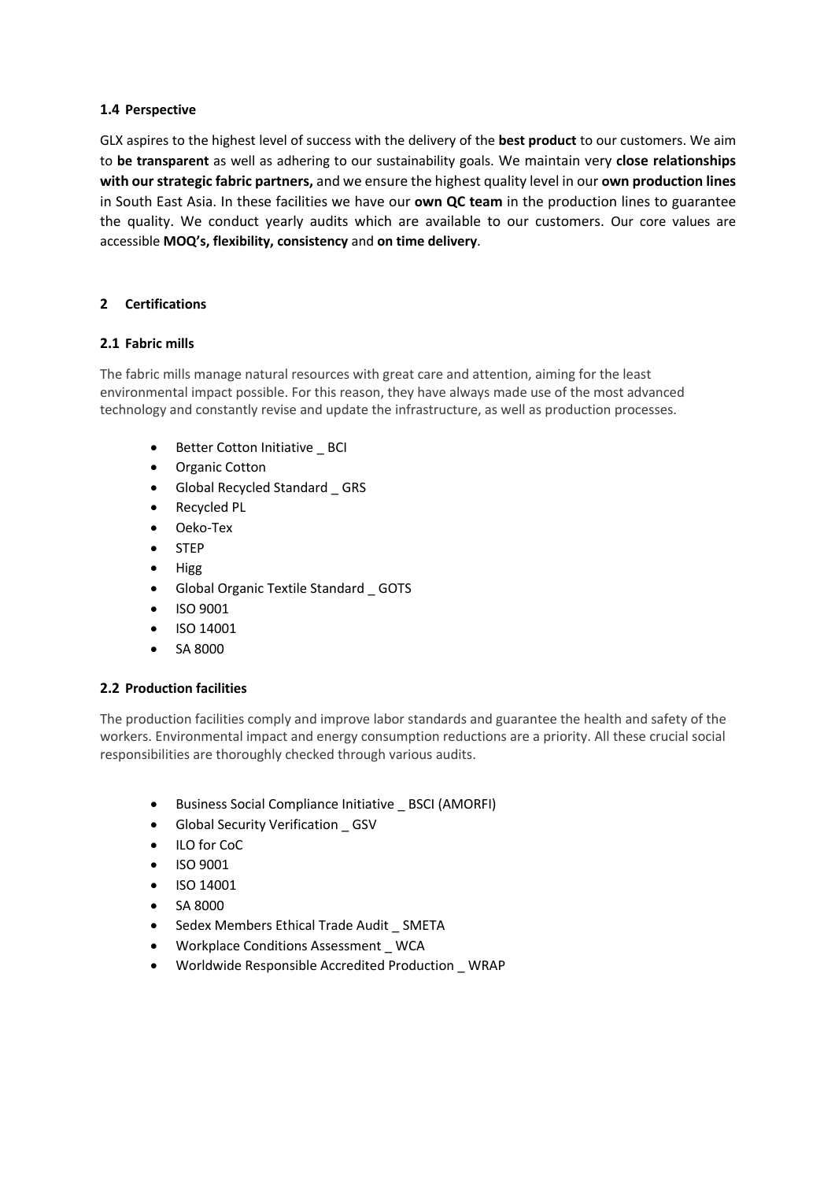# **1.4 Perspective**

GLX aspires to the highest level of success with the delivery of the **best product** to our customers. We aim to **be transparent** as well as adhering to our sustainability goals. We maintain very **close relationships with our strategic fabric partners,** and we ensure the highest quality level in our **own production lines** in South East Asia. In these facilities we have our **own QC team** in the production lines to guarantee the quality. We conduct yearly audits which are available to our customers. Our core values are accessible **MOQ's, flexibility, consistency** and **on time delivery**.

# **2 Certifications**

# **2.1 Fabric mills**

The fabric mills manage natural resources with great care and attention, aiming for the least environmental impact possible. For this reason, they have always made use of the most advanced technology and constantly revise and update the infrastructure, as well as production processes.

- Better Cotton Initiative BCI
- Organic Cotton
- Global Recycled Standard \_ GRS
- Recycled PL
- Oeko-Tex
- STEP
- Higg
- Global Organic Textile Standard \_ GOTS
- ISO 9001
- ISO 14001
- SA 8000

## **2.2 Production facilities**

The production facilities comply and improve labor standards and guarantee the health and safety of the workers. Environmental impact and energy consumption reductions are a priority. All these crucial social responsibilities are thoroughly checked through various audits.

- Business Social Compliance Initiative \_ BSCI (AMORFI)
- Global Security Verification \_ GSV
- ILO for CoC
- ISO 9001
- ISO 14001
- SA 8000
- Sedex Members Ethical Trade Audit \_ SMETA
- Workplace Conditions Assessment \_ WCA
- Worldwide Responsible Accredited Production \_ WRAP